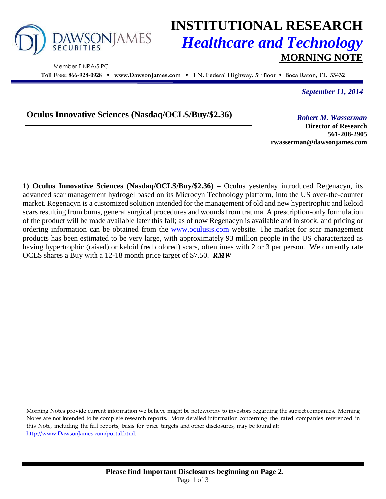

Member FINRA/SIPC

# **INSTITUTIONAL RESEARCH** *Healthcare and Technology* **MORNING NOTE**

**Toll Free: 866-928-0928 www.DawsonJames.com 1 N. Federal Highway, 5 th floor Boca Raton, FL 33432**

*September 11, 2014*

**Oculus Innovative Sciences (Nasdaq/OCLS/Buy/\$2.36)** *Robert M. Wasserman*

**Director of Research 561-208-2905 rwasserman@dawsonjames.com**

**1) Oculus Innovative Sciences (Nasdaq/OCLS/Buy/\$2.36) –** Oculus yesterday introduced Regenacyn, its advanced scar management hydrogel based on its Microcyn Technology platform, into the US over-the-counter market. Regenacyn is a customized solution intended for the management of old and new hypertrophic and keloid scars resulting from burns, general surgical procedures and wounds from trauma. A prescription-only formulation of the product will be made available later this fall; as of now Regenacyn is available and in stock, and pricing or ordering information can be obtained from the [www.oculusis.com](http://www.oculusis.com/) website. The market for scar management products has been estimated to be very large, with approximately 93 million people in the US characterized as having hypertrophic (raised) or keloid (red colored) scars, oftentimes with 2 or 3 per person. We currently rate OCLS shares a Buy with a 12-18 month price target of \$7.50. *RMW*

Morning Notes provide current information we believe might be noteworthy to investors regarding the subject companies. Morning Notes are not intended to be complete research reports. More detailed information concerning the rated companies referenced in this Note, including the full reports, basis for price targets and other disclosures, may be found at: [http://www.DawsonJames.com/portal.html.](http://www.dawsonjames.com/portal.html)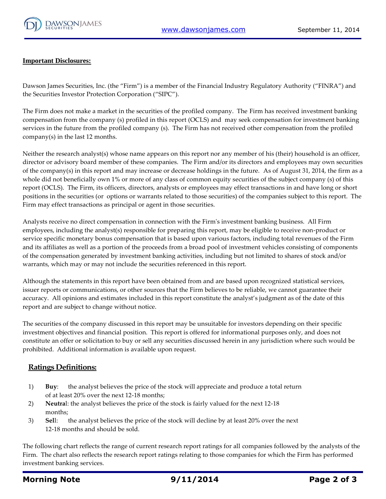

#### **Important Disclosures:**

Dawson James Securities, Inc. (the "Firm") is a member of the Financial Industry Regulatory Authority ("FINRA") and the Securities Investor Protection Corporation ("SIPC").

The Firm does not make a market in the securities of the profiled company. The Firm has received investment banking compensation from the company (s) profiled in this report (OCLS) and may seek compensation for investment banking services in the future from the profiled company (s). The Firm has not received other compensation from the profiled company(s) in the last 12 months.

Neither the research analyst(s) whose name appears on this report nor any member of his (their) household is an officer, director or advisory board member of these companies. The Firm and/or its directors and employees may own securities of the company(s) in this report and may increase or decrease holdings in the future. As of August 31, 2014, the firm as a whole did not beneficially own 1% or more of any class of common equity securities of the subject company (s) of this report (OCLS). The Firm, its officers, directors, analysts or employees may effect transactions in and have long or short positions in the securities (or options or warrants related to those securities) of the companies subject to this report. The Firm may effect transactions as principal or agent in those securities.

Analysts receive no direct compensation in connection with the Firm's investment banking business. All Firm employees, including the analyst(s) responsible for preparing this report, may be eligible to receive non-product or service specific monetary bonus compensation that is based upon various factors, including total revenues of the Firm and its affiliates as well as a portion of the proceeds from a broad pool of investment vehicles consisting of components of the compensation generated by investment banking activities, including but not limited to shares of stock and/or warrants, which may or may not include the securities referenced in this report.

Although the statements in this report have been obtained from and are based upon recognized statistical services, issuer reports or communications, or other sources that the Firm believes to be reliable, we cannot guarantee their accuracy. All opinions and estimates included in this report constitute the analyst's judgment as of the date of this report and are subject to change without notice.

The securities of the company discussed in this report may be unsuitable for investors depending on their specific investment objectives and financial position. This report is offered for informational purposes only, and does not constitute an offer or solicitation to buy or sell any securities discussed herein in any jurisdiction where such would be prohibited. Additional information is available upon request.

#### **Ratings Definitions:**

- 1) **Buy**: the analyst believes the price of the stock will appreciate and produce a total return of at least 20% over the next 12-18 months;
- 2) **Neutra**l: the analyst believes the price of the stock is fairly valued for the next 12-18 months;
- 3) **Sel**l: the analyst believes the price of the stock will decline by at least 20% over the next 12-18 months and should be sold.

The following chart reflects the range of current research report ratings for all companies followed by the analysts of the Firm. The chart also reflects the research report ratings relating to those companies for which the Firm has performed investment banking services.

### **Morning Note 9/11/2014 Page 2 of 3**